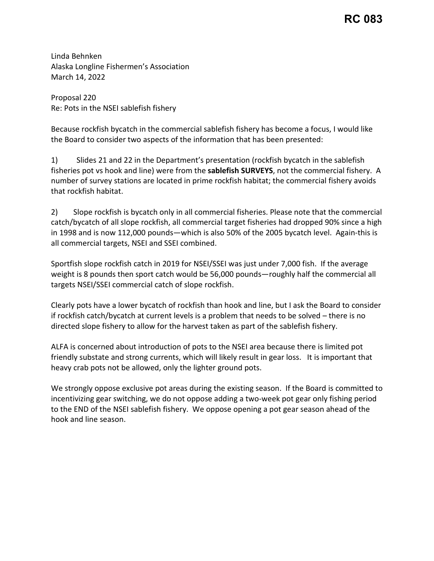## **RC 083**

Linda Behnken Alaska Longline Fishermen's Association March 14, 2022

Proposal 220 Re: Pots in the NSEI sablefish fishery

 Because rockfish bycatch in the commercial sablefish fishery has become a focus, I would like the Board to consider two aspects of the information that has been presented:

 1) Slides 21 and 22 in the Department's presentation (rockfish bycatch in the sablefish fisheries pot vs hook and line) were from the **sablefish SURVEYS**, not the commercial fishery. A number of survey stations are located in prime rockfish habitat; the commercial fishery avoids that rockfish habitat.

2) Slope rockfish is bycatch only in all commercial fisheries. Please note that the commercial catch/bycatch of all slope rockfish, all commercial target fisheries had dropped 90% since a high in 1998 and is now 112,000 pounds—which is also 50% of the 2005 bycatch level. Again-this is all commercial targets, NSEI and SSEI combined.

Sportfish slope rockfish catch in 2019 for NSEI/SSEI was just under 7,000 fish. If the average weight is 8 pounds then sport catch would be 56,000 pounds—roughly half the commercial all targets NSEI/SSEI commercial catch of slope rockfish.

 if rockfish catch/bycatch at current levels is a problem that needs to be solved – there is no directed slope fishery to allow for the harvest taken as part of the sablefish fishery. Clearly pots have a lower bycatch of rockfish than hook and line, but I ask the Board to consider

 friendly substate and strong currents, which will likely result in gear loss. It is important that ALFA is concerned about introduction of pots to the NSEI area because there is limited pot heavy crab pots not be allowed, only the lighter ground pots.

We strongly oppose exclusive pot areas during the existing season. If the Board is committed to incentivizing gear switching, we do not oppose adding a two-week pot gear only fishing period to the END of the NSEI sablefish fishery. We oppose opening a pot gear season ahead of the hook and line season.